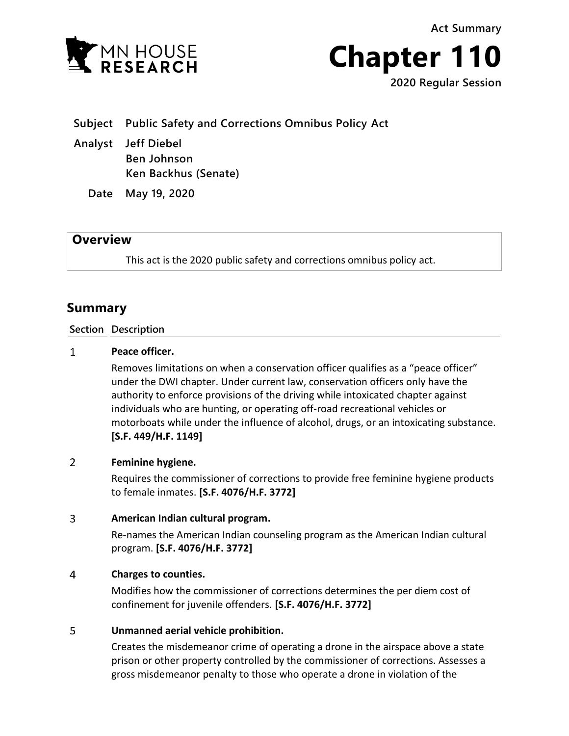**Act Summary**



**Chapter 110**

**2020 Regular Session**

**Subject Public Safety and Corrections Omnibus Policy Act**

**Analyst Jeff Diebel Ben Johnson Ken Backhus (Senate)**

**Date May 19, 2020**

# **Overview**

This act is the 2020 public safety and corrections omnibus policy act.

# **Summary**

# **Section Description**

#### $\mathbf{1}$ **Peace officer.**

Removes limitations on when a conservation officer qualifies as a "peace officer" under the DWI chapter. Under current law, conservation officers only have the authority to enforce provisions of the driving while intoxicated chapter against individuals who are hunting, or operating off-road recreational vehicles or motorboats while under the influence of alcohol, drugs, or an intoxicating substance. **[S.F. 449/H.F. 1149]**

### $\overline{2}$ **Feminine hygiene.**

Requires the commissioner of corrections to provide free feminine hygiene products to female inmates. **[S.F. 4076/H.F. 3772]**

## 3 **American Indian cultural program.**

Re-names the American Indian counseling program as the American Indian cultural program. **[S.F. 4076/H.F. 3772]**

#### $\overline{4}$ **Charges to counties.**

Modifies how the commissioner of corrections determines the per diem cost of confinement for juvenile offenders. **[S.F. 4076/H.F. 3772]**

## 5 **Unmanned aerial vehicle prohibition.**

Creates the misdemeanor crime of operating a drone in the airspace above a state prison or other property controlled by the commissioner of corrections. Assesses a gross misdemeanor penalty to those who operate a drone in violation of the